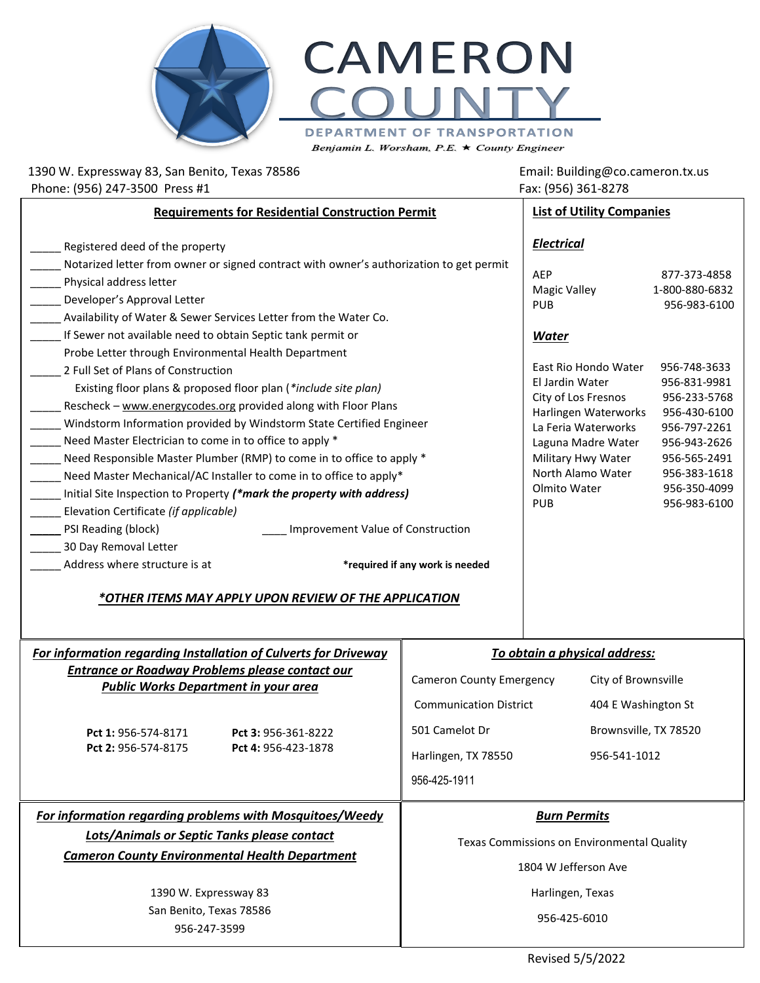

1390 W. Expressway 83, San Benito, Texas 78586 Email: Building@co.cameron.tx.us Phone: (956) 247-3500 Press #1 Fax: (956) 361-8278 **Requirements for Residential Construction Permit** Registered deed of the property Notarized letter from owner or signed contract with owner's authorization to get permit Physical address letter Developer's Approval Letter Availability of Water & Sewer Services Letter from the Water Co. If Sewer not available need to obtain Septic tank permit or Probe Letter through Environmental Health Department \_\_\_\_\_ 2 Full Set of Plans of Construction Existing floor plans & proposed floor plan (*\*include site plan)* Rescheck – [www.energycodes.org](http://www.energycodes.org/) provided along with Floor Plans Windstorm Information provided by Windstorm State Certified Engineer Need Master Electrician to come in to office to apply \* Need Responsible Master Plumber (RMP) to come in to office to apply \* Need Master Mechanical/AC Installer to come in to office to apply\* \_\_\_\_\_ Initial Site Inspection to Property *(\*mark the property with address)* \_\_\_\_\_ Elevation Certificate *(if applicable)* Let a line of Construction CPSI Reading (block) **with a line of Construction** \_\_\_\_\_ 30 Day Removal Letter \_\_\_\_\_ Address where structure is at **\*required if any work is needed List of Utility Companies** *Electrical* AEP 877-373-4858 Magic Valley 1-800-880-6832 PUB 956-983-6100 *Water* East Rio Hondo Water 956-748-3633 El Jardin Water 956-831-9981 City of Los Fresnos 956-233-5768 Harlingen Waterworks 956-430-6100 La Feria Waterworks 956-797-2261 Laguna Madre Water 956-943-2626 Military Hwy Water 956-565-2491 North Alamo Water 956-383-1618 Olmito Water 956-350-4099 PUB 956-983-6100

## *\*OTHER ITEMS MAY APPLY UPON REVIEW OF THE APPLICATION*

| To obtain a physical address:<br>For information regarding Installation of Culverts for Driveway |                                                                                        |                                                              |
|--------------------------------------------------------------------------------------------------|----------------------------------------------------------------------------------------|--------------------------------------------------------------|
| Entrance or Roadway Problems please contact our<br><b>Public Works Department in your area</b>   | <b>Cameron County Emergency</b>                                                        | City of Brownsville                                          |
| Pct 1: 956-574-8171<br>Pct 3: 956-361-8222<br>Pct 2: 956-574-8175<br>Pct 4: 956-423-1878         | <b>Communication District</b><br>501 Camelot Dr<br>Harlingen, TX 78550<br>956-425-1911 | 404 E Washington St<br>Brownsville, TX 78520<br>956-541-1012 |
|                                                                                                  |                                                                                        |                                                              |
| For information regarding problems with Mosquitoes/Weedy                                         |                                                                                        | <b>Burn Permits</b>                                          |
| Lots/Animals or Septic Tanks please contact                                                      |                                                                                        | Texas Commissions on Environmental Quality                   |
| <b>Cameron County Environmental Health Department</b>                                            |                                                                                        | 1804 W Jefferson Ave                                         |
| 1390 W. Expressway 83                                                                            |                                                                                        | Harlingen, Texas                                             |

Revised 5/5/2022